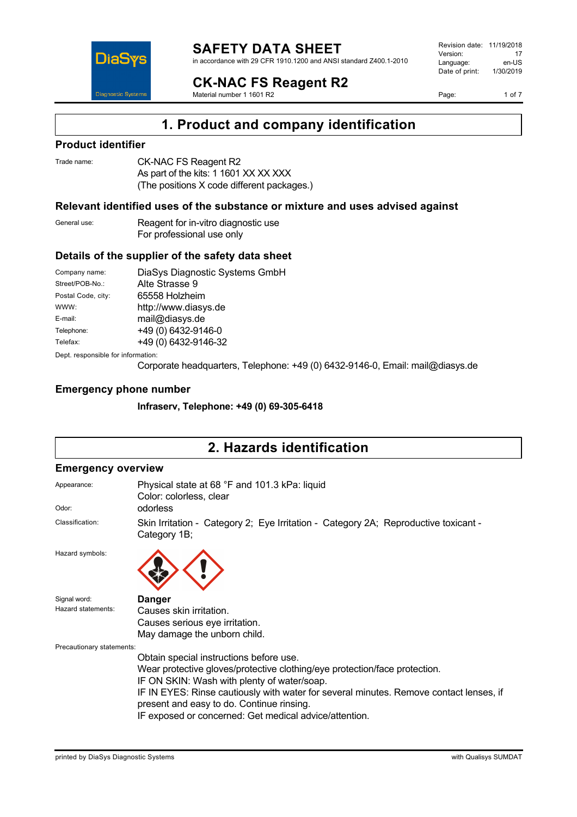

#### **SAFETY DATA SHEET** in accordance with 29 CFR 1910.1200 and ANSI standard Z400.1-2010

**CK-NAC FS Reagent R2**

Material number 1 1601 R2

Revision date: 11/19/2018 Version: 17<br>
Language: en-US Language: Date of print: 1/30/2019

Page: 1 of 7

# **1. Product and company identification**

### **Product identifier**

| Trade name: | CK-NAC FS Reagent R2                       |
|-------------|--------------------------------------------|
|             | As part of the kits: 1 1601 XX XX XXX      |
|             | (The positions X code different packages.) |

### **Relevant identified uses of the substance or mixture and uses advised against**

| General use: | Reagent for in-vitro diagnostic use |
|--------------|-------------------------------------|
|              | For professional use only           |

### **Details of the supplier of the safety data sheet**

| Company name:                      | DiaSys Diagnostic Systems GmbH |  |
|------------------------------------|--------------------------------|--|
| Street/POB-No.:                    | Alte Strasse 9                 |  |
| Postal Code, city:                 | 65558 Holzheim                 |  |
| WWW:                               | http://www.diasys.de           |  |
| E-mail:                            | mail@diasys.de                 |  |
| Telephone:                         | +49 (0) 6432-9146-0            |  |
| Telefax:                           | +49 (0) 6432-9146-32           |  |
| Dept. responsible for information: |                                |  |

Corporate headquarters, Telephone: +49 (0) 6432-9146-0, Email: mail@diasys.de

### **Emergency phone number**

**Infraserv, Telephone: +49 (0) 69-305-6418**

# **2. Hazards identification**

#### **Emergency overview**

| Appearance:<br>Odor:               | Physical state at 68 °F and 101.3 kPa: liquid<br>Color: colorless, clear<br>odorless                                                                                                                                                                                                                                                                                  |
|------------------------------------|-----------------------------------------------------------------------------------------------------------------------------------------------------------------------------------------------------------------------------------------------------------------------------------------------------------------------------------------------------------------------|
| Classification:                    | Skin Irritation - Category 2; Eye Irritation - Category 2A; Reproductive toxicant -<br>Category 1B;                                                                                                                                                                                                                                                                   |
| Hazard symbols:                    |                                                                                                                                                                                                                                                                                                                                                                       |
| Signal word:<br>Hazard statements: | <b>Danger</b><br>Causes skin irritation.<br>Causes serious eye irritation.<br>May damage the unborn child.                                                                                                                                                                                                                                                            |
| Precautionary statements:          | Obtain special instructions before use.<br>Wear protective gloves/protective clothing/eye protection/face protection.<br>IF ON SKIN: Wash with plenty of water/soap.<br>IF IN EYES: Rinse cautiously with water for several minutes. Remove contact lenses, if<br>present and easy to do. Continue rinsing.<br>IF exposed or concerned: Get medical advice/attention. |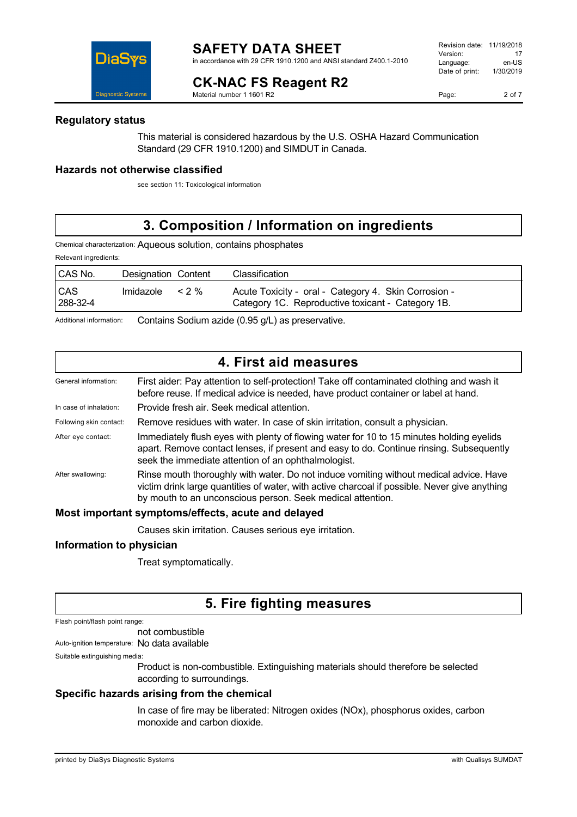in accordance with 29 CFR 1910.1200 and ANSI standard Z400.1-2010

#### **CK-NAC FS Reagent R2** Material number 1 1601 R2

Revision date: 11/19/2018 Version: 17<br>Language: en-LIS Language: en-US<br>Date of print: 1/30/2019  $Date$  of print:



### **Regulatory status**

This material is considered hazardous by the U.S. OSHA Hazard Communication Standard (29 CFR 1910.1200) and SIMDUT in Canada.

### **Hazards not otherwise classified**

see section 11: Toxicological information

# **3. Composition / Information on ingredients**

Chemical characterization: Aqueous solution, contains phosphates

Relevant ingredients:

| CAS No.                | Designation Content |       | Classification                                                                                            |
|------------------------|---------------------|-------|-----------------------------------------------------------------------------------------------------------|
| <b>CAS</b><br>288-32-4 | Imidazole           | $2\%$ | Acute Toxicity - oral - Category 4. Skin Corrosion -<br>Category 1C. Reproductive toxicant - Category 1B. |

Additional information: Contains Sodium azide (0.95 g/L) as preservative.

|                         | 4. First aid measures                                                                                                                                                                                                                                 |
|-------------------------|-------------------------------------------------------------------------------------------------------------------------------------------------------------------------------------------------------------------------------------------------------|
| General information:    | First aider: Pay attention to self-protection! Take off contaminated clothing and wash it<br>before reuse. If medical advice is needed, have product container or label at hand.                                                                      |
| In case of inhalation:  | Provide fresh air. Seek medical attention.                                                                                                                                                                                                            |
| Following skin contact: | Remove residues with water. In case of skin irritation, consult a physician.                                                                                                                                                                          |
| After eye contact:      | Immediately flush eyes with plenty of flowing water for 10 to 15 minutes holding eyelids<br>apart. Remove contact lenses, if present and easy to do. Continue rinsing. Subsequently<br>seek the immediate attention of an ophthalmologist.            |
| After swallowing:       | Rinse mouth thoroughly with water. Do not induce vomiting without medical advice. Have<br>victim drink large quantities of water, with active charcoal if possible. Never give anything<br>by mouth to an unconscious person. Seek medical attention. |

#### **Most important symptoms/effects, acute and delayed**

Causes skin irritation. Causes serious eye irritation.

### **Information to physician**

Treat symptomatically.

# **5. Fire fighting measures**

Flash point/flash point range:

not combustible

Auto-ignition temperature: No data available

Suitable extinguishing media:

Product is non-combustible. Extinguishing materials should therefore be selected according to surroundings.

### **Specific hazards arising from the chemical**

In case of fire may be liberated: Nitrogen oxides (NOx), phosphorus oxides, carbon monoxide and carbon dioxide.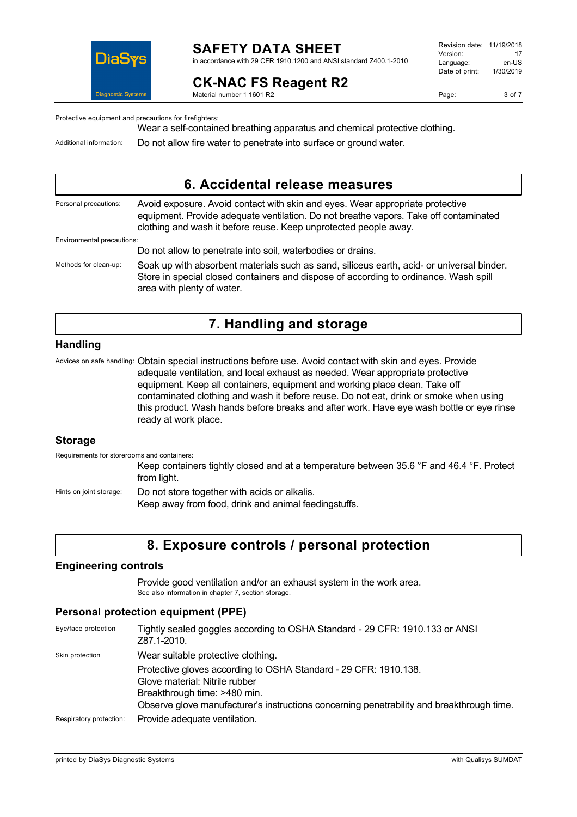

# **SAFETY DATA SHEET**

in accordance with 29 CFR 1910.1200 and ANSI standard Z400.1-2010

# **CK-NAC FS Reagent R2**

Revision date: 11/19/2018 Version: 17<br>Language: en-LIS Language: en-US<br>Date of print: 1/30/2019  $Date$  of print:

Material number 1 1601 R2

Page: 3 of 7

Protective equipment and precautions for firefighters:

Wear a self-contained breathing apparatus and chemical protective clothing.

Environmental precautions:

Additional information: Do not allow fire water to penetrate into surface or ground water.

### **6. Accidental release measures**

Personal precautions: Avoid exposure. Avoid contact with skin and eyes. Wear appropriate protective equipment. Provide adequate ventilation. Do not breathe vapors. Take off contaminated clothing and wash it before reuse. Keep unprotected people away.

Do not allow to penetrate into soil, waterbodies or drains. Methods for clean-up: Soak up with absorbent materials such as sand, siliceus earth, acid- or universal binder. Store in special closed containers and dispose of according to ordinance. Wash spill area with plenty of water.

### **7. Handling and storage**

### **Handling**

Advices on safe handling: Obtain special instructions before use. Avoid contact with skin and eyes. Provide adequate ventilation, and local exhaust as needed. Wear appropriate protective equipment. Keep all containers, equipment and working place clean. Take off contaminated clothing and wash it before reuse. Do not eat, drink or smoke when using this product. Wash hands before breaks and after work. Have eye wash bottle or eye rinse ready at work place.

#### **Storage**

Requirements for storerooms and containers:

Keep containers tightly closed and at a temperature between 35.6 °F and 46.4 °F. Protect from light.

Hints on joint storage: Do not store together with acids or alkalis.

Keep away from food, drink and animal feedingstuffs.

# **8. Exposure controls / personal protection**

### **Engineering controls**

Provide good ventilation and/or an exhaust system in the work area. See also information in chapter 7, section storage.

### **Personal protection equipment (PPE)**

| Eye/face protection     | Tightly sealed goggles according to OSHA Standard - 29 CFR: 1910.133 or ANSI<br>Z87.1-2010.                                                                                                                                     |
|-------------------------|---------------------------------------------------------------------------------------------------------------------------------------------------------------------------------------------------------------------------------|
| Skin protection         | Wear suitable protective clothing.                                                                                                                                                                                              |
|                         | Protective gloves according to OSHA Standard - 29 CFR: 1910.138.<br>Glove material: Nitrile rubber<br>Breakthrough time: >480 min.<br>Observe glove manufacturer's instructions concerning penetrability and breakthrough time. |
| Respiratory protection: | Provide adequate ventilation.                                                                                                                                                                                                   |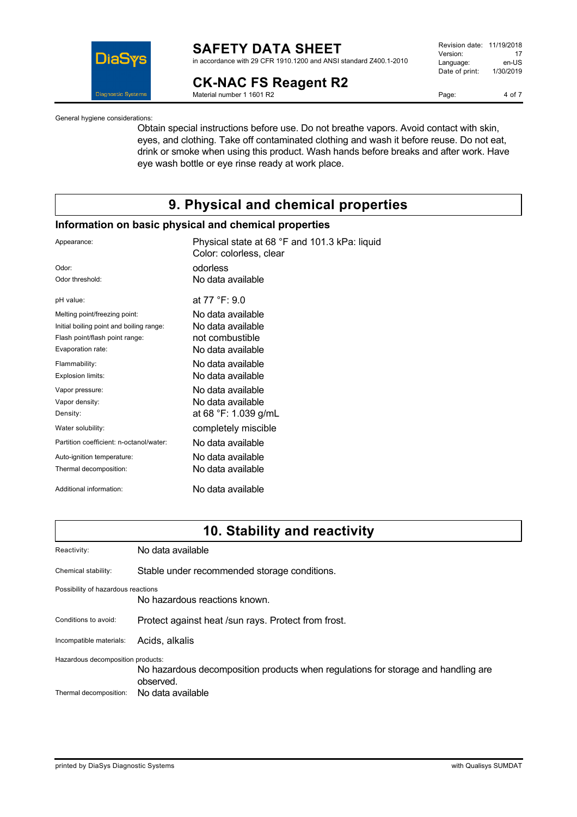

# **SAFETY DATA SHEET**

in accordance with 29 CFR 1910.1200 and ANSI standard Z400.1-2010

## **CK-NAC FS Reagent R2**

Material number 1 1601 R2

| Revision date: | 11/19/2018 |
|----------------|------------|
| Version:       | 17         |
| Language:      | en-US      |
| Date of print: | 1/30/2019  |
|                |            |

Page: 4 of 7

General hygiene considerations:

Obtain special instructions before use. Do not breathe vapors. Avoid contact with skin, eyes, and clothing. Take off contaminated clothing and wash it before reuse. Do not eat, drink or smoke when using this product. Wash hands before breaks and after work. Have eye wash bottle or eye rinse ready at work place.

## **9. Physical and chemical properties**

### **Information on basic physical and chemical properties**

| Appearance:                              | Physical state at 68 °F and 101.3 kPa: liquid<br>Color: colorless, clear |
|------------------------------------------|--------------------------------------------------------------------------|
| Odor:                                    | odorless                                                                 |
| Odor threshold:                          | No data available                                                        |
| pH value:                                | at $77 °F: 9.0$                                                          |
| Melting point/freezing point:            | No data available                                                        |
| Initial boiling point and boiling range: | No data available                                                        |
| Flash point/flash point range:           | not combustible                                                          |
| Evaporation rate:                        | No data available.                                                       |
| Flammability:                            | No data available                                                        |
| Explosion limits:                        | No data available                                                        |
| Vapor pressure:                          | No data available                                                        |
| Vapor density:                           | No data available                                                        |
| Density:                                 | at 68 °F: 1.039 g/mL                                                     |
| Water solubility:                        | completely miscible                                                      |
| Partition coefficient: n-octanol/water:  | No data available                                                        |
| Auto-ignition temperature:               | No data available                                                        |
| Thermal decomposition:                   | No data available                                                        |
| Additional information:                  | No data available                                                        |
|                                          |                                                                          |

### **10. Stability and reactivity**

| Reactivity:                        | No data available                                                                              |  |
|------------------------------------|------------------------------------------------------------------------------------------------|--|
| Chemical stability:                | Stable under recommended storage conditions.                                                   |  |
| Possibility of hazardous reactions | No hazardous reactions known.                                                                  |  |
| Conditions to avoid:               | Protect against heat /sun rays. Protect from frost.                                            |  |
| Incompatible materials:            | Acids, alkalis                                                                                 |  |
| Hazardous decomposition products:  | No hazardous decomposition products when regulations for storage and handling are<br>observed. |  |
| Thermal decomposition:             | No data available                                                                              |  |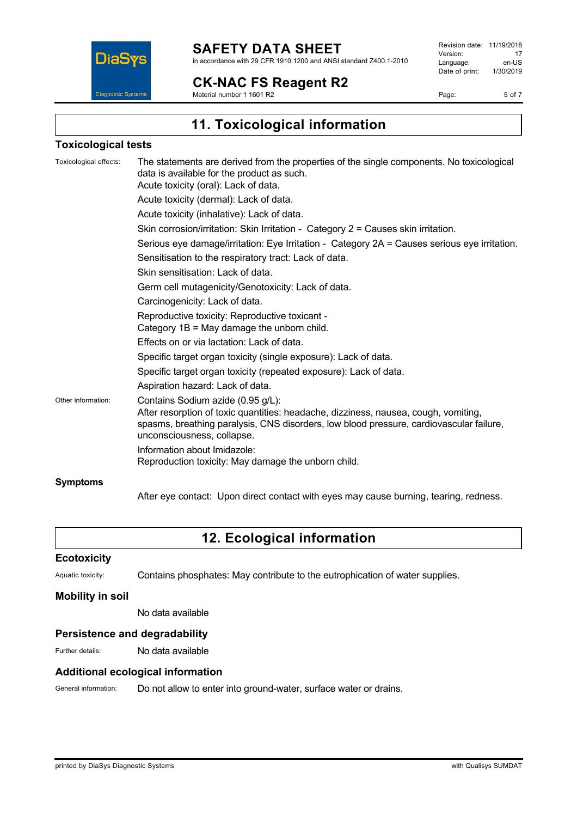

**CK-NAC FS Reagent R2**

Material number 1 1601 R2

Revision date: 11/19/2018 Version: 17<br>Language: en-US Language: en-US<br>Date of print: 1/30/2019  $Date$  of print:

Page: 5 of 7

**11. Toxicological information**

### **Toxicological tests**

| Toxicological effects: | The statements are derived from the properties of the single components. No toxicological<br>data is available for the product as such.<br>Acute toxicity (oral): Lack of data.                                                                   |
|------------------------|---------------------------------------------------------------------------------------------------------------------------------------------------------------------------------------------------------------------------------------------------|
|                        | Acute toxicity (dermal): Lack of data.                                                                                                                                                                                                            |
|                        | Acute toxicity (inhalative): Lack of data.                                                                                                                                                                                                        |
|                        | Skin corrosion/irritation: Skin Irritation - Category 2 = Causes skin irritation.                                                                                                                                                                 |
|                        | Serious eye damage/irritation: Eye Irritation - Category 2A = Causes serious eye irritation.                                                                                                                                                      |
|                        | Sensitisation to the respiratory tract: Lack of data.                                                                                                                                                                                             |
|                        | Skin sensitisation: Lack of data.                                                                                                                                                                                                                 |
|                        | Germ cell mutagenicity/Genotoxicity: Lack of data.                                                                                                                                                                                                |
|                        | Carcinogenicity: Lack of data.                                                                                                                                                                                                                    |
|                        | Reproductive toxicity: Reproductive toxicant -<br>Category $1B = May$ damage the unborn child.                                                                                                                                                    |
|                        | Effects on or via lactation: Lack of data.                                                                                                                                                                                                        |
|                        | Specific target organ toxicity (single exposure): Lack of data.                                                                                                                                                                                   |
|                        | Specific target organ toxicity (repeated exposure): Lack of data.                                                                                                                                                                                 |
|                        | Aspiration hazard: Lack of data.                                                                                                                                                                                                                  |
| Other information:     | Contains Sodium azide (0.95 g/L):<br>After resorption of toxic quantities: headache, dizziness, nausea, cough, vomiting,<br>spasms, breathing paralysis, CNS disorders, low blood pressure, cardiovascular failure,<br>unconsciousness, collapse. |
|                        | Information about Imidazole:<br>Reproduction toxicity: May damage the unborn child.                                                                                                                                                               |
| <b>Symptoms</b>        |                                                                                                                                                                                                                                                   |

After eye contact: Upon direct contact with eyes may cause burning, tearing, redness.

# **12. Ecological information**

#### **Ecotoxicity**

Aquatic toxicity: Contains phosphates: May contribute to the eutrophication of water supplies.

#### **Mobility in soil**

No data available

#### **Persistence and degradability**

Further details: No data available

### **Additional ecological information**

General information: Do not allow to enter into ground-water, surface water or drains.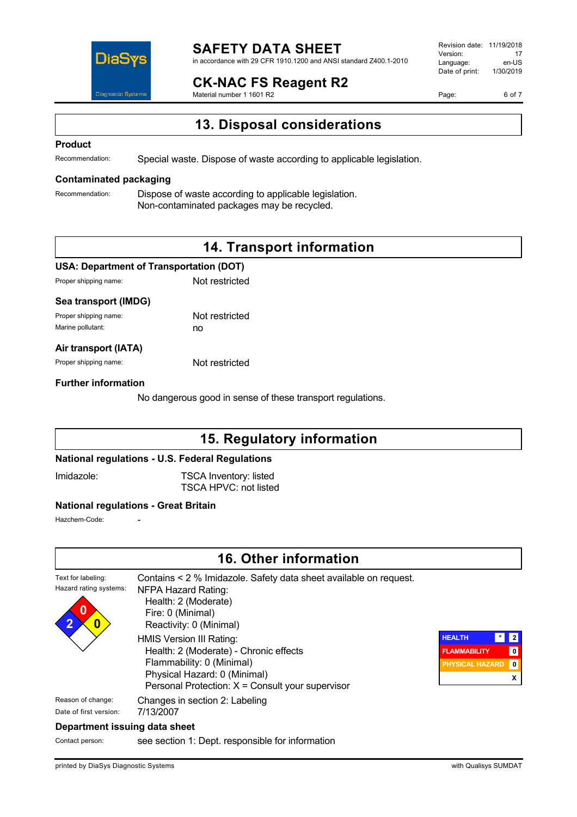

#### **SAFETY DATA SHEET** in accordance with 29 CFR 1910.1200 and ANSI standard Z400.1-2010

**CK-NAC FS Reagent R2**

Material number 1 1601 R2

Revision date: 11/19/2018 Version: 17<br>Language: en-LIS Language: en-US<br>Date of print: 1/30/2019  $Date$  of print:

Page: 6 of 7

# **13. Disposal considerations**

#### **Product**

Recommendation: Special waste. Dispose of waste according to applicable legislation.

#### **Contaminated packaging**

Recommendation: Dispose of waste according to applicable legislation. Non-contaminated packages may be recycled.

# **14. Transport information**

#### **USA: Department of Transportation (DOT)**

Proper shipping name: Not restricted

#### **Sea transport (IMDG)**

Proper shipping name: Not restricted Marine pollutant: no

#### **Air transport (IATA)**

Proper shipping name: Not restricted

#### **Further information**

No dangerous good in sense of these transport regulations.

### **15. Regulatory information**

#### **National regulations - U.S. Federal Regulations**

Imidazole: TSCA Inventory: listed TSCA HPVC: not listed

#### **National regulations - Great Britain**

Hazchem-Code:

### **16. Other information**



Contact person: see section 1: Dept. responsible for information